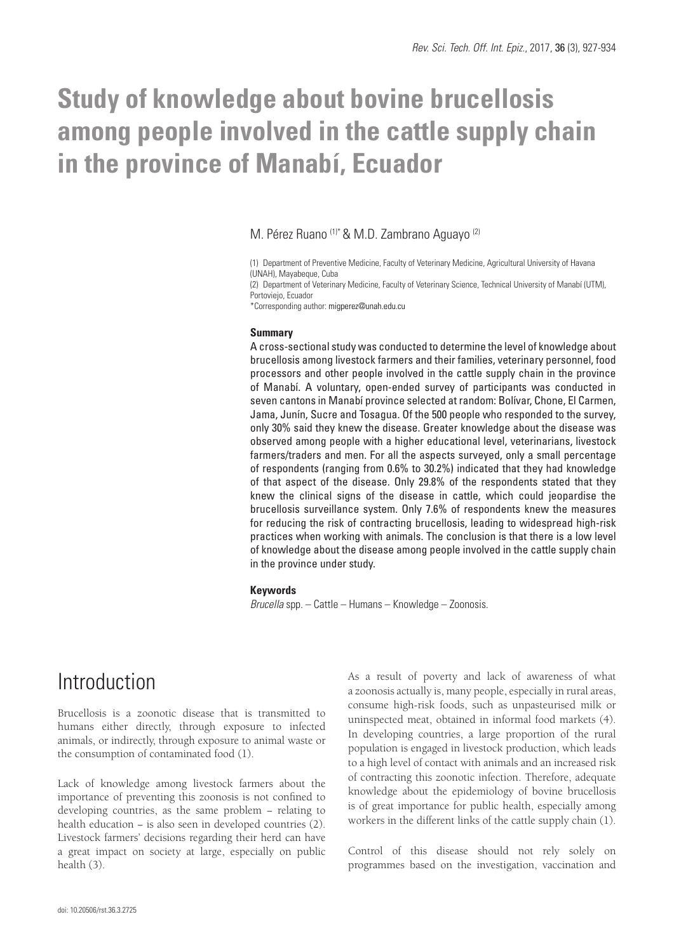# **Study of knowledge about bovine brucellosis among people involved in the cattle supply chain in the province of Manabí, Ecuador**

### M. Pérez Ruano (1)\* & M.D. Zambrano Aguayo (2)

(1) Department of Preventive Medicine, Faculty of Veterinary Medicine, Agricultural University of Havana (UNAH), Mayabeque, Cuba

(2) Department of Veterinary Medicine, Faculty of Veterinary Science, Technical University of Manabí (UTM), Portoviejo, Ecuador

\*Corresponding author: migperez@unah.edu.cu

#### **Summary**

A cross-sectional study was conducted to determine the level of knowledge about brucellosis among livestock farmers and their families, veterinary personnel, food processors and other people involved in the cattle supply chain in the province of Manabí. A voluntary, open-ended survey of participants was conducted in seven cantons in Manabí province selected at random: Bolívar, Chone, El Carmen, Jama, Junín, Sucre and Tosagua. Of the 500 people who responded to the survey, only 30% said they knew the disease. Greater knowledge about the disease was observed among people with a higher educational level, veterinarians, livestock farmers/traders and men. For all the aspects surveyed, only a small percentage of respondents (ranging from 0.6% to 30.2%) indicated that they had knowledge of that aspect of the disease. Only 29.8% of the respondents stated that they knew the clinical signs of the disease in cattle, which could jeopardise the brucellosis surveillance system. Only 7.6% of respondents knew the measures for reducing the risk of contracting brucellosis, leading to widespread high-risk practices when working with animals. The conclusion is that there is a low level of knowledge about the disease among people involved in the cattle supply chain in the province under study.

#### **Keywords**

*Brucella* spp. – Cattle – Humans – Knowledge – Zoonosis.

# Introduction

Brucellosis is a zoonotic disease that is transmitted to humans either directly, through exposure to infected animals, or indirectly, through exposure to animal waste or the consumption of contaminated food (1).

Lack of knowledge among livestock farmers about the importance of preventing this zoonosis is not confined to developing countries, as the same problem − relating to health education – is also seen in developed countries (2). Livestock farmers' decisions regarding their herd can have a great impact on society at large, especially on public health (3).

As a result of poverty and lack of awareness of what a zoonosis actually is, many people, especially in rural areas, consume high-risk foods, such as unpasteurised milk or uninspected meat, obtained in informal food markets (4). In developing countries, a large proportion of the rural population is engaged in livestock production, which leads to a high level of contact with animals and an increased risk of contracting this zoonotic infection. Therefore, adequate knowledge about the epidemiology of bovine brucellosis is of great importance for public health, especially among workers in the different links of the cattle supply chain (1).

Control of this disease should not rely solely on programmes based on the investigation, vaccination and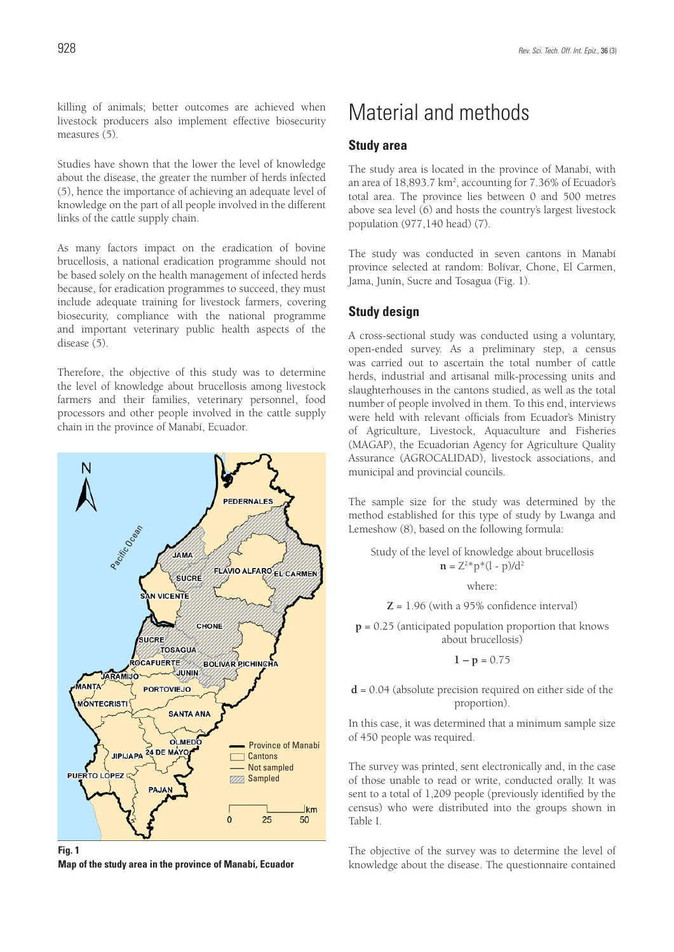killing of animals; better outcomes are achieved when livestock producers also implement effective biosecurity measures (5).

Studies have shown that the lower the level of knowledge about the disease, the greater the number of herds infected (5), hence the importance of achieving an adequate level of knowledge on the part of all people involved in the different links of the cattle supply chain.

As many factors impact on the eradication of bovine brucellosis, a national eradication programme should not be based solely on the health management of infected herds because, for eradication programmes to succeed, they must include adequate training for livestock farmers, covering biosecurity, compliance with the national programme and important veterinary public health aspects of the disease (5).

Therefore, the objective of this study was to determine the level of knowledge about brucellosis among livestock farmers and their families, veterinary personnel, food processors and other people involved in the cattle supply chain in the province of Manabí, Ecuador.



**Fig. 1 Map of the study area in the province of Manabí, Ecuador**

# Material and methods

### **Study area**

The study area is located in the province of Manabí, with an area of 18,893.7 km<sup>2</sup>, accounting for 7.36% of Ecuador's total area. The province lies between 0 and 500 metres above sea level (6) and hosts the country's largest livestock population (977,140 head) (7).

The study was conducted in seven cantons in Manabí province selected at random: Bolívar, Chone, El Carmen, Jama, Junín, Sucre and Tosagua (Fig. 1).

### **Study design**

A cross-sectional study was conducted using a voluntary, open-ended survey. As a preliminary step, a census was carried out to ascertain the total number of cattle herds, industrial and artisanal milk-processing units and slaughterhouses in the cantons studied, as well as the total number of people involved in them. To this end, interviews were held with relevant officials from Ecuador's Ministry of Agriculture, Livestock, Aquaculture and Fisheries (MAGAP), the Ecuadorian Agency for Agriculture Quality Assurance (AGROCALIDAD), livestock associations, and municipal and provincial councils.

The sample size for the study was determined by the method established for this type of study by Lwanga and Lemeshow (8), based on the following formula:

Study of the level of knowledge about brucellosis  $\mathbf{n} = Z^2 \cdot p^* (1 - p) / d^2$ 

where:

**Z** = 1.96 (with a 95% confidence interval)

**p** = 0.25 (anticipated population proportion that knows about brucellosis)

$$
1-p=0.75
$$

### **d** = 0.04 (absolute precision required on either side of the proportion).

In this case, it was determined that a minimum sample size of 450 people was required.

The survey was printed, sent electronically and, in the case of those unable to read or write, conducted orally. It was sent to a total of 1,209 people (previously identified by the census) who were distributed into the groups shown in Table I.

The objective of the survey was to determine the level of knowledge about the disease. The questionnaire contained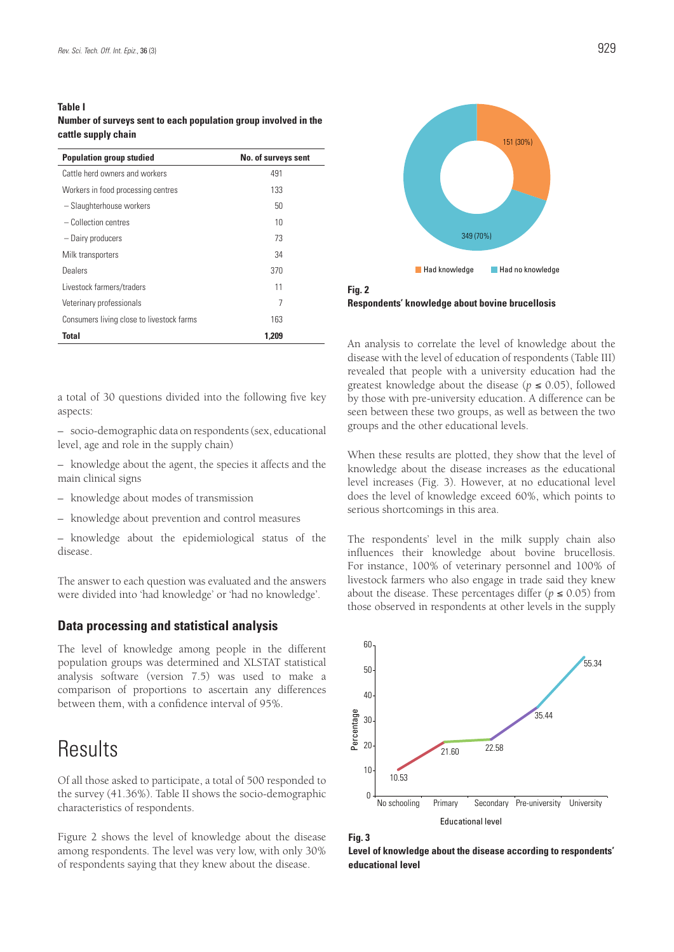#### **Table I**

**Number of surveys sent to each population group involved in the cattle supply chain**

| <b>Population group studied</b>           | No. of surveys sent |
|-------------------------------------------|---------------------|
| Cattle herd owners and workers            | 491                 |
| Workers in food processing centres        | 133                 |
| - Slaughterhouse workers                  | 50                  |
| $-$ Collection centres                    | 10                  |
| - Dairy producers                         | 73                  |
| Milk transporters                         | 34                  |
| Dealers                                   | 370                 |
| Livestock farmers/traders                 | 11                  |
| Veterinary professionals                  | 7                   |
| Consumers living close to livestock farms | 163                 |
| Total                                     | 1.209               |

a total of 30 questions divided into the following five key aspects:

– socio-demographic data on respondents (sex, educational level, age and role in the supply chain)

– knowledge about the agent, the species it affects and the main clinical signs

- knowledge about modes of transmission
- knowledge about prevention and control measures

– knowledge about the epidemiological status of the disease.

The answer to each question was evaluated and the answers were divided into 'had knowledge' or 'had no knowledge'.

### **Data processing and statistical analysis**

The level of knowledge among people in the different population groups was determined and XLSTAT statistical analysis software (version 7.5) was used to make a comparison of proportions to ascertain any differences between them, with a confidence interval of 95%.

# **Results**

Of all those asked to participate, a total of 500 responded to the survey (41.36%). Table II shows the socio-demographic characteristics of respondents.

Figure 2 shows the level of knowledge about the disease among respondents. The level was very low, with only 30% of respondents saying that they knew about the disease.



**Fig. 2 Respondents' knowledge about bovine brucellosis**

An analysis to correlate the level of knowledge about the disease with the level of education of respondents (Table III) revealed that people with a university education had the greatest knowledge about the disease ( $p \le 0.05$ ), followed by those with pre-university education. A difference can be seen between these two groups, as well as between the two groups and the other educational levels.

When these results are plotted, they show that the level of knowledge about the disease increases as the educational level increases (Fig. 3). However, at no educational level does the level of knowledge exceed 60%, which points to serious shortcomings in this area.

The respondents' level in the milk supply chain also influences their knowledge about bovine brucellosis. For instance, 100% of veterinary personnel and 100% of livestock farmers who also engage in trade said they knew about the disease. These percentages differ ( $p \leq 0.05$ ) from those observed in respondents at other levels in the supply



**Fig. 3**

**Level of knowledge about the disease according to respondents' educational level**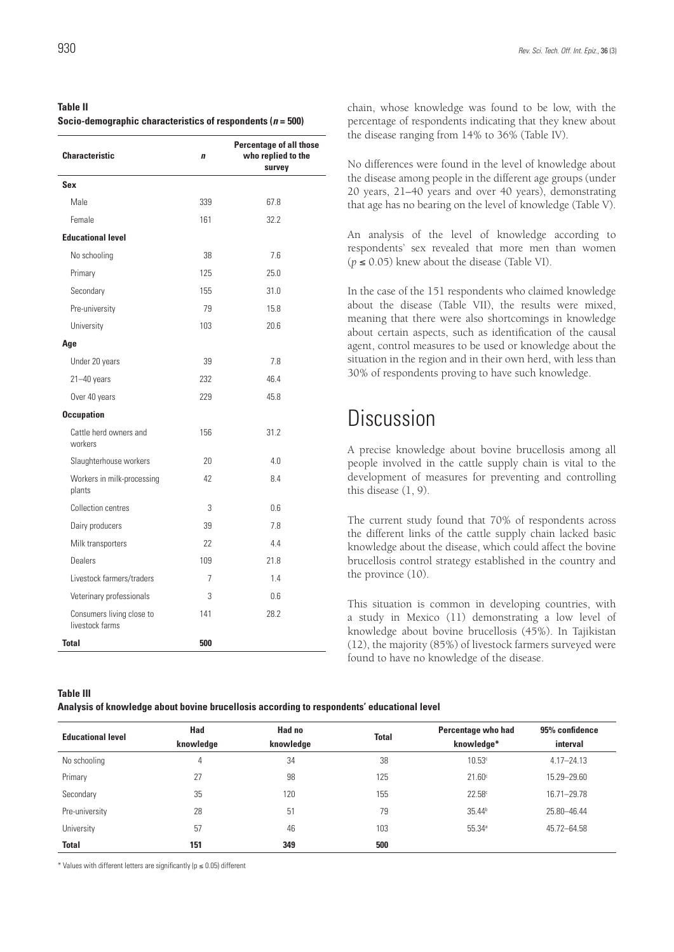### **Table II Socio-demographic characteristics of respondents (***n* **= 500)**

| <b>Characteristic</b>                        | $\mathbf{n}$ | <b>Percentage of all those</b><br>who replied to the<br>survey |
|----------------------------------------------|--------------|----------------------------------------------------------------|
| <b>Sex</b>                                   |              |                                                                |
| Male                                         | 339          | 67.8                                                           |
| Female                                       | 161          | 32.2                                                           |
| <b>Educational level</b>                     |              |                                                                |
| No schooling                                 | 38           | 7.6                                                            |
| Primary                                      | 125          | 25.0                                                           |
| Secondary                                    | 155          | 31.0                                                           |
| Pre-university                               | 79           | 15 <sub>8</sub>                                                |
| University                                   | 103          | 20.6                                                           |
| Age                                          |              |                                                                |
| Under 20 years                               | 39           | 7.8                                                            |
| $21 - 40$ years                              | 232          | 46.4                                                           |
| Over 40 years                                | 229          | 45.8                                                           |
| <b>Occupation</b>                            |              |                                                                |
| Cattle herd owners and<br>workers            | 156          | 31.2                                                           |
| Slaughterhouse workers                       | 20           | 4.0                                                            |
| Workers in milk-processing<br>plants         | 42           | 8.4                                                            |
| Collection centres                           | 3            | 06                                                             |
| Dairy producers                              | 39           | 7.8                                                            |
| Milk transporters                            | 22           | 4.4                                                            |
| Dealers                                      | 109          | 21.8                                                           |
| Livestock farmers/traders                    | 7            | 14                                                             |
| Veterinary professionals                     | 3            | 0.6                                                            |
| Consumers living close to<br>livestock farms | 141          | 28.2                                                           |
| <b>Total</b>                                 | 500          |                                                                |

chain, whose knowledge was found to be low, with the percentage of respondents indicating that they knew about the disease ranging from 14% to 36% (Table IV).

No differences were found in the level of knowledge about the disease among people in the different age groups (under 20 years, 21–40 years and over 40 years), demonstrating that age has no bearing on the level of knowledge (Table V).

An analysis of the level of knowledge according to respondents' sex revealed that more men than women  $(p \le 0.05)$  knew about the disease (Table VI).

In the case of the 151 respondents who claimed knowledge about the disease (Table VII), the results were mixed, meaning that there were also shortcomings in knowledge about certain aspects, such as identification of the causal agent, control measures to be used or knowledge about the situation in the region and in their own herd, with less than 30% of respondents proving to have such knowledge.

# **Discussion**

A precise knowledge about bovine brucellosis among all people involved in the cattle supply chain is vital to the development of measures for preventing and controlling this disease (1, 9).

The current study found that 70% of respondents across the different links of the cattle supply chain lacked basic knowledge about the disease, which could affect the bovine brucellosis control strategy established in the country and the province (10).

This situation is common in developing countries, with a study in Mexico (11) demonstrating a low level of knowledge about bovine brucellosis (45%). In Tajikistan (12), the majority (85%) of livestock farmers surveyed were found to have no knowledge of the disease.

#### **Table III**

**Analysis of knowledge about bovine brucellosis according to respondents' educational level**

| <b>Educational level</b> | Had<br>knowledge | Had no<br>knowledge | <b>Total</b> | Percentage who had<br>knowledge* | 95% confidence<br>interval |
|--------------------------|------------------|---------------------|--------------|----------------------------------|----------------------------|
| No schooling             | 4                | 34                  | 38           | 10.53 <sup>c</sup>               | $4.17 - 24.13$             |
| Primary                  | 27               | 98                  | 125          | 21.60 <sup>c</sup>               | 15.29 - 29.60              |
| Secondary                | 35               | 120                 | 155          | 22.58c                           | 16.71-29.78                |
| Pre-university           | 28               | 51                  | 79           | 35.44 <sup>b</sup>               | 25.80 - 46.44              |
| University               | 57               | 46                  | 103          | 55.34a                           | 45.72-64.58                |
| <b>Total</b>             | 151              | 349                 | 500          |                                  |                            |

\* Values with different letters are significantly (p ≤ 0.05) different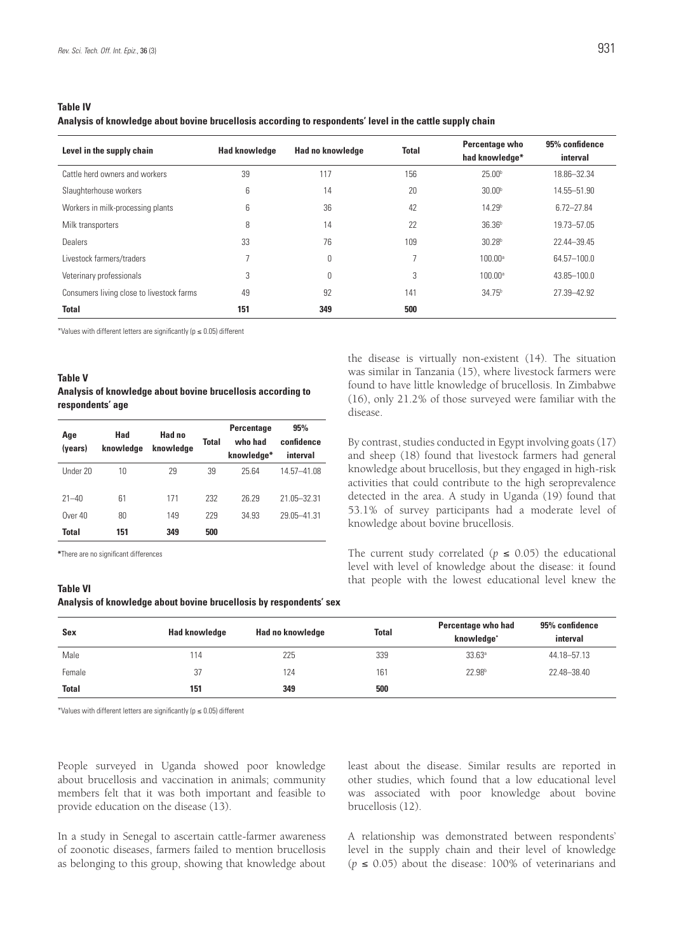#### **Table IV**

**Analysis of knowledge about bovine brucellosis according to respondents' level in the cattle supply chain** 

| Level in the supply chain                 | <b>Had knowledge</b> | Had no knowledge | <b>Total</b> | Percentage who<br>had knowledge* | 95% confidence<br>interval |
|-------------------------------------------|----------------------|------------------|--------------|----------------------------------|----------------------------|
| Cattle herd owners and workers            | 39                   | 117              | 156          | 25.00 <sup>b</sup>               | 18.86-32.34                |
| Slaughterhouse workers                    | 6                    | 14               | 20           | 30.00 <sup>b</sup>               | 14.55-51.90                |
| Workers in milk-processing plants         | 6                    | 36               | 42           | 14.29 <sup>b</sup>               | $6.72 - 27.84$             |
| Milk transporters                         | 8                    | 14               | 22           | 36.36 <sup>b</sup>               | 19.73-57.05                |
| Dealers                                   | 33                   | 76               | 109          | 30.28 <sup>b</sup>               | 22.44-39.45                |
| Livestock farmers/traders                 |                      | 0                |              | $100.00$ <sup>a</sup>            | 64.57-100.0                |
| Veterinary professionals                  | 3                    | 0                | 3            | $100.00$ <sup>a</sup>            | 43.85-100.0                |
| Consumers living close to livestock farms | 49                   | 92               | 141          | 34.75 <sup>b</sup>               | 27.39-42.92                |
| <b>Total</b>                              | 151                  | 349              | 500          |                                  |                            |

\*Values with different letters are significantly (p ≤ 0.05) different

### **Table V Analysis of knowledge about bovine brucellosis according to respondents' age**

| Age<br>(years)       | Had<br>knowledge | Had no<br>knowledge | <b>Total</b> | <b>Percentage</b><br>who had<br>knowledge* | 95%<br>confidence<br>interval |
|----------------------|------------------|---------------------|--------------|--------------------------------------------|-------------------------------|
| Under 20             | 10               | 29                  | 39           | 25.64                                      | 14.57-41.08                   |
| $21 - 40$<br>Over 40 | 61<br>80         | 171<br>149          | 232<br>229   | 26 29<br>34.93                             | 21.05-32.31<br>29.05-41.31    |
| Total                | 151              | 349                 | 500          |                                            |                               |

**\***There are no significant differences

#### **Table VI**

**Analysis of knowledge about bovine brucellosis by respondents' sex**

the disease is virtually non-existent (14). The situation was similar in Tanzania (15), where livestock farmers were found to have little knowledge of brucellosis. In Zimbabwe (16), only 21.2% of those surveyed were familiar with the disease.

By contrast, studies conducted in Egypt involving goats (17) and sheep (18) found that livestock farmers had general knowledge about brucellosis, but they engaged in high-risk activities that could contribute to the high seroprevalence detected in the area. A study in Uganda (19) found that 53.1% of survey participants had a moderate level of knowledge about bovine brucellosis.

The current study correlated ( $p \le 0.05$ ) the educational level with level of knowledge about the disease: it found that people with the lowest educational level knew the

| Sex          | <b>Had knowledge</b> | Had no knowledge | <b>Total</b> | Percentage who had<br>knowledge <sup>*</sup> | 95% confidence<br>interval |
|--------------|----------------------|------------------|--------------|----------------------------------------------|----------------------------|
| Male         | 114                  | 225              | 339          | 33.63a                                       | 44.18 - 57.13              |
| Female       | 37                   | 124              | 161          | 22.98 <sup>b</sup>                           | 22.48-38.40                |
| <b>Total</b> | 151                  | 349              | 500          |                                              |                            |

\*Values with different letters are significantly (p ≤ 0.05) different

People surveyed in Uganda showed poor knowledge about brucellosis and vaccination in animals; community members felt that it was both important and feasible to provide education on the disease (13).

In a study in Senegal to ascertain cattle-farmer awareness of zoonotic diseases, farmers failed to mention brucellosis as belonging to this group, showing that knowledge about least about the disease. Similar results are reported in other studies, which found that a low educational level was associated with poor knowledge about bovine brucellosis (12).

A relationship was demonstrated between respondents' level in the supply chain and their level of knowledge (*p* ≤ 0.05) about the disease: 100% of veterinarians and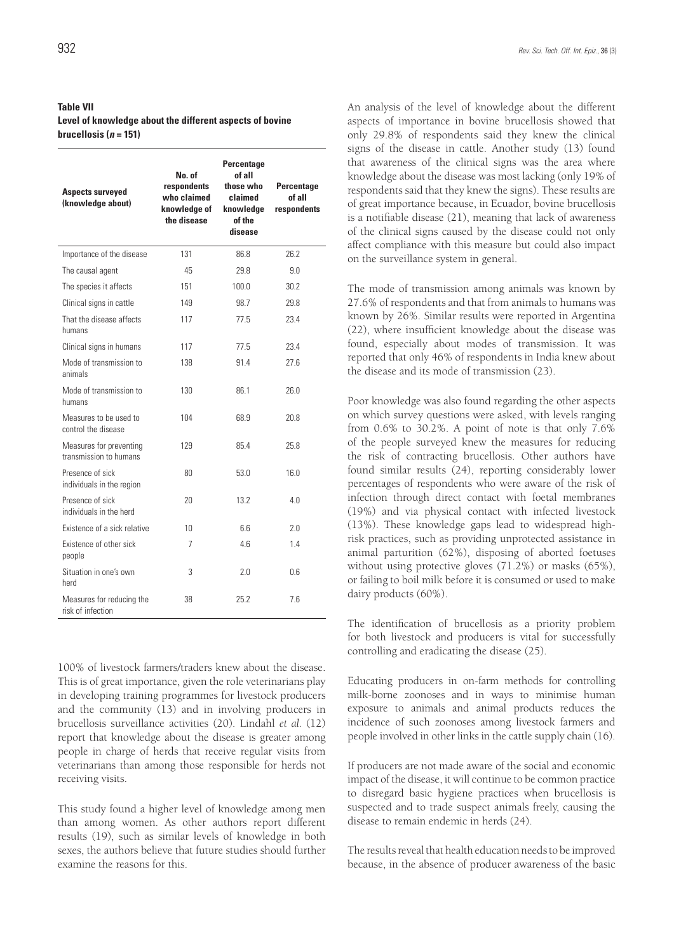### **Table VII Level of knowledge about the different aspects of bovine**   $brucellossis (*n* = 151)$

| <b>Aspects surveyed</b><br>(knowledge about)      | No. of<br>respondents<br>who claimed<br>knowledae of<br>the disease | Percentage<br>of all<br>those who<br>claimed<br>knowledge<br>of the<br>disease | Percentage<br>of all<br>respondents |
|---------------------------------------------------|---------------------------------------------------------------------|--------------------------------------------------------------------------------|-------------------------------------|
| Importance of the disease                         | 131                                                                 | 86.8                                                                           | 26.2                                |
| The causal agent                                  | 45                                                                  | 29.8                                                                           | 9.0                                 |
| The species it affects                            | 151                                                                 | 100.0                                                                          | 30.2                                |
| Clinical signs in cattle                          | 149                                                                 | 98.7                                                                           | 29.8                                |
| That the disease affects<br>humans                | 117                                                                 | 77.5                                                                           | 23.4                                |
| Clinical signs in humans                          | 117                                                                 | 77.5                                                                           | 23.4                                |
| Mode of transmission to<br>animals                | 138                                                                 | 91.4                                                                           | 27.6                                |
| Mode of transmission to<br>humans                 | 130                                                                 | 86.1                                                                           | 26.0                                |
| Measures to be used to<br>control the disease     | 104                                                                 | 68.9                                                                           | 20.8                                |
| Measures for preventing<br>transmission to humans | 129                                                                 | 854                                                                            | 25.8                                |
| Presence of sick<br>individuals in the region     | 80                                                                  | 53.0                                                                           | 16.0                                |
| Presence of sick<br>individuals in the herd       | 20                                                                  | 13.2                                                                           | 4.0                                 |
| Existence of a sick relative                      | 10                                                                  | 6.6                                                                            | 2.0                                 |
| Existence of other sick<br>people                 | 7                                                                   | 4.6                                                                            | 1.4                                 |
| Situation in one's own<br>herd                    | 3                                                                   | 2.0                                                                            | 0.6                                 |
| Measures for reducing the<br>risk of infection    | 38                                                                  | 25.2                                                                           | 7.6                                 |

100% of livestock farmers/traders knew about the disease. This is of great importance, given the role veterinarians play in developing training programmes for livestock producers and the community (13) and in involving producers in brucellosis surveillance activities (20). Lindahl *et al.* (12) report that knowledge about the disease is greater among people in charge of herds that receive regular visits from veterinarians than among those responsible for herds not receiving visits.

This study found a higher level of knowledge among men than among women. As other authors report different results (19), such as similar levels of knowledge in both sexes, the authors believe that future studies should further examine the reasons for this.

An analysis of the level of knowledge about the different aspects of importance in bovine brucellosis showed that only 29.8% of respondents said they knew the clinical signs of the disease in cattle. Another study (13) found that awareness of the clinical signs was the area where knowledge about the disease was most lacking (only 19% of respondents said that they knew the signs). These results are of great importance because, in Ecuador, bovine brucellosis is a notifiable disease (21), meaning that lack of awareness of the clinical signs caused by the disease could not only affect compliance with this measure but could also impact on the surveillance system in general.

The mode of transmission among animals was known by 27.6% of respondents and that from animals to humans was known by 26%. Similar results were reported in Argentina (22), where insufficient knowledge about the disease was found, especially about modes of transmission. It was reported that only 46% of respondents in India knew about the disease and its mode of transmission (23).

Poor knowledge was also found regarding the other aspects on which survey questions were asked, with levels ranging from 0.6% to 30.2%. A point of note is that only 7.6% of the people surveyed knew the measures for reducing the risk of contracting brucellosis. Other authors have found similar results (24), reporting considerably lower percentages of respondents who were aware of the risk of infection through direct contact with foetal membranes (19%) and via physical contact with infected livestock (13%). These knowledge gaps lead to widespread highrisk practices, such as providing unprotected assistance in animal parturition (62%), disposing of aborted foetuses without using protective gloves (71.2%) or masks (65%), or failing to boil milk before it is consumed or used to make dairy products (60%).

The identification of brucellosis as a priority problem for both livestock and producers is vital for successfully controlling and eradicating the disease (25).

Educating producers in on-farm methods for controlling milk-borne zoonoses and in ways to minimise human exposure to animals and animal products reduces the incidence of such zoonoses among livestock farmers and people involved in other links in the cattle supply chain (16).

If producers are not made aware of the social and economic impact of the disease, it will continue to be common practice to disregard basic hygiene practices when brucellosis is suspected and to trade suspect animals freely, causing the disease to remain endemic in herds (24).

The results reveal that health education needs to be improved because, in the absence of producer awareness of the basic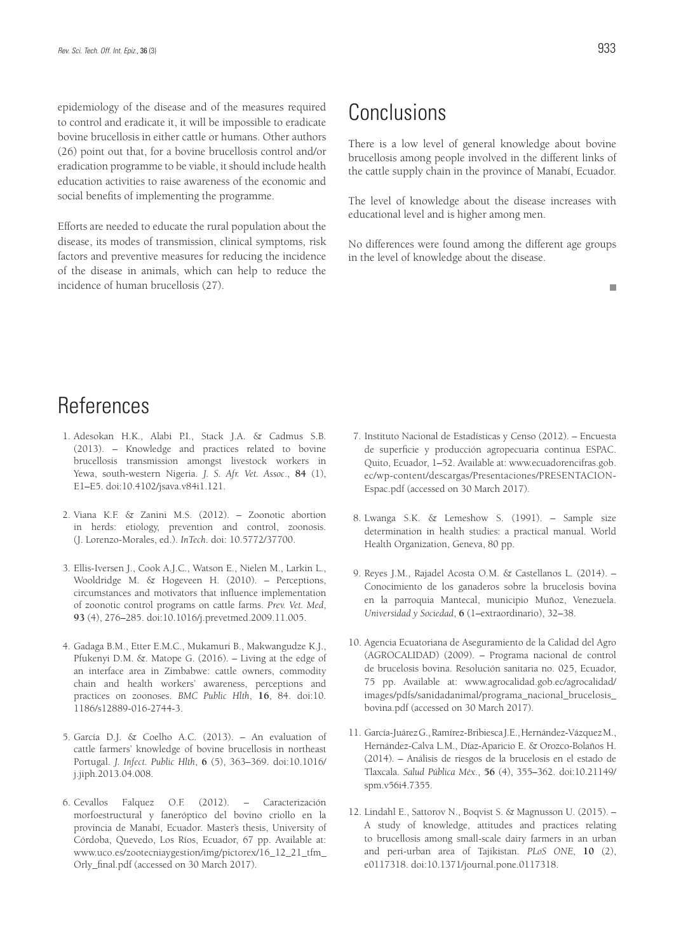epidemiology of the disease and of the measures required to control and eradicate it, it will be impossible to eradicate bovine brucellosis in either cattle or humans. Other authors (26) point out that, for a bovine brucellosis control and/or eradication programme to be viable, it should include health education activities to raise awareness of the economic and social benefits of implementing the programme.

Efforts are needed to educate the rural population about the disease, its modes of transmission, clinical symptoms, risk factors and preventive measures for reducing the incidence of the disease in animals, which can help to reduce the incidence of human brucellosis (27).

# Conclusions

There is a low level of general knowledge about bovine brucellosis among people involved in the different links of the cattle supply chain in the province of Manabí, Ecuador.

The level of knowledge about the disease increases with educational level and is higher among men.

No differences were found among the different age groups in the level of knowledge about the disease.

 $\mathbf{r}$ 

# References

- 1. Adesokan H.K., Alabi P.I., Stack J.A. & Cadmus S.B. (2013). – Knowledge and practices related to bovine brucellosis transmission amongst livestock workers in Yewa, south-western Nigeria. *J. S. Afr. Vet. Assoc*., **84** (1), E1–E5. doi:10.4102/jsava.v84i1.121.
- 2. Viana K.F. & Zanini M.S. (2012). Zoonotic abortion in herds: etiology, prevention and control, zoonosis. (J. Lorenzo-Morales, ed.). *InTech*. doi: 10.5772/37700.
- 3. Ellis-Iversen J., Cook A.J.C., Watson E., Nielen M., Larkin L., Wooldridge M. & Hogeveen H. (2010). – Perceptions, circumstances and motivators that influence implementation of zoonotic control programs on cattle farms. *Prev. Vet. Med*, **93** (4), 276–285. doi:10.1016/j.prevetmed.2009.11.005.
- 4. Gadaga B.M., Etter E.M.C., Mukamuri B., Makwangudze K.J., Pfukenyi D.M. &. Matope G. (2016). – Living at the edge of an interface area in Zimbabwe: cattle owners, commodity chain and health workers' awareness, perceptions and practices on zoonoses. *BMC Public Hlth*, **16**, 84. doi:10. 1186/s12889-016-2744-3.
- 5. García D.J. & Coelho A.C. (2013). An evaluation of cattle farmers' knowledge of bovine brucellosis in northeast Portugal. *J. Infect. Public Hlth*, **6** (5), 363–369. doi:10.1016/ j.jiph.2013.04.008.
- 6. Cevallos Falquez O.F. (2012). Caracterización morfoestructural y faneróptico del bovino criollo en la provincia de Manabí, Ecuador. Master's thesis, University of Córdoba, Quevedo, Los Ríos, Ecuador, 67 pp. Available at: www.uco.es/zootecniaygestion/img/pictorex/16\_12\_21\_tfm\_ Orly\_final.pdf (accessed on 30 March 2017).
- 7. Instituto Nacional de Estadísticas y Censo (2012). Encuesta de superficie y producción agropecuaria continua ESPAC. Quito, Ecuador, 1–52. Available at: www.ecuadorencifras.gob. ec/wp-content/descargas/Presentaciones/PRESENTACION-Espac.pdf (accessed on 30 March 2017).
- 8. Lwanga S.K. & Lemeshow S. (1991). Sample size determination in health studies: a practical manual. World Health Organization, Geneva, 80 pp.
- 9. Reyes J.M., Rajadel Acosta O.M. & Castellanos L. (2014). Conocimiento de los ganaderos sobre la brucelosis bovina en la parroquia Mantecal, municipio Muñoz, Venezuela. *Universidad y Sociedad*, **6** (1–extraordinario), 32–38.
- 10. Agencia Ecuatoriana de Aseguramiento de la Calidad del Agro (AGROCALIDAD) (2009). – Programa nacional de control de brucelosis bovina. Resolución sanitaria no. 025, Ecuador, 75 pp. Available at: www.agrocalidad.gob.ec/agrocalidad/ images/pdfs/sanidadanimal/programa\_nacional\_brucelosis\_ bovina.pdf (accessed on 30 March 2017).
- 11. García-Juárez G., Ramírez-Bribiesca J.E., Hernández-Vázquez M., Hernández-Calva L.M., Díaz-Aparicio E. & Orozco-Bolaños H. (2014). – Análisis de riesgos de la brucelosis en el estado de Tlaxcala. *Salud Pública Méx*., **56** (4), 355–362. doi:10.21149/ spm.v56i4.7355.
- 12. Lindahl E., Sattorov N., Boqvist S. & Magnusson U. (2015). A study of knowledge, attitudes and practices relating to brucellosis among small-scale dairy farmers in an urban and peri-urban area of Tajikistan. *PLoS ONE*, **10** (2), e0117318. doi:10.1371/journal.pone.0117318.